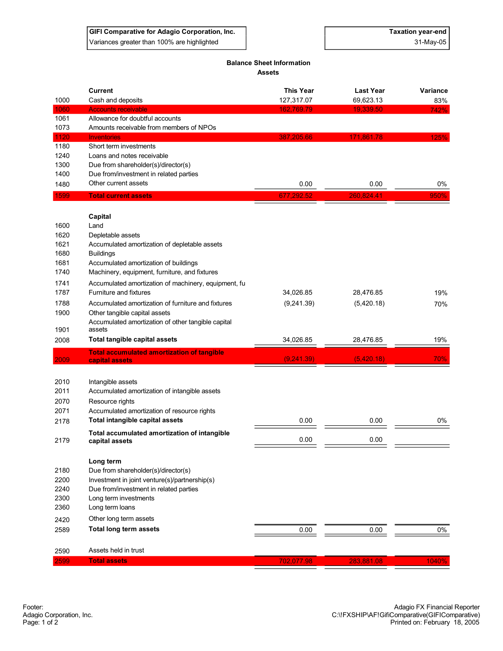## **Balance Sheet Information Assets**

|              | <b>Current</b>                                                                          | <b>This Year</b> | <b>Last Year</b> | Variance |
|--------------|-----------------------------------------------------------------------------------------|------------------|------------------|----------|
| 1000         | Cash and deposits                                                                       | 127,317.07       | 69,623.13        | 83%      |
| 1060<br>1061 | <b>Accounts receivable</b><br>Allowance for doubtful accounts                           | 162,769.79       | 19,339.50        | 742%     |
| 1073         | Amounts receivable from members of NPOs                                                 |                  |                  |          |
| 1120         | <b>Inventories</b>                                                                      | 387,205.66       | 171,861.78       | 125%     |
| 1180         | Short term investments                                                                  |                  |                  |          |
| 1240         | Loans and notes receivable                                                              |                  |                  |          |
| 1300         | Due from shareholder(s)/director(s)                                                     |                  |                  |          |
| 1400         | Due from/investment in related parties                                                  |                  |                  |          |
| 1480         | Other current assets                                                                    | 0.00             | 0.00             | 0%       |
| 1599         | <b>Total current assets</b>                                                             | 677,292.52       | 260,824.41       | 950%     |
|              | Capital                                                                                 |                  |                  |          |
| 1600         | Land                                                                                    |                  |                  |          |
| 1620         | Depletable assets                                                                       |                  |                  |          |
| 1621         | Accumulated amortization of depletable assets                                           |                  |                  |          |
| 1680         | <b>Buildings</b>                                                                        |                  |                  |          |
| 1681         | Accumulated amortization of buildings                                                   |                  |                  |          |
| 1740         | Machinery, equipment, furniture, and fixtures                                           |                  |                  |          |
| 1741         | Accumulated amortization of machinery, equipment, fu                                    |                  |                  |          |
| 1787         | Furniture and fixtures                                                                  | 34,026.85        | 28,476.85        | 19%      |
| 1788         | Accumulated amortization of furniture and fixtures                                      | (9,241.39)       | (5,420.18)       | 70%      |
| 1900         | Other tangible capital assets                                                           |                  |                  |          |
| 1901         | Accumulated amortization of other tangible capital<br>assets                            |                  |                  |          |
| 2008         | <b>Total tangible capital assets</b>                                                    | 34,026.85        | 28,476.85        | 19%      |
|              | <b>Total accumulated amortization of tangible</b>                                       |                  |                  |          |
| 2009         | capital assets                                                                          | (9,241.39)       | (5,420.18)       | 70%      |
| 2010         | Intangible assets                                                                       |                  |                  |          |
| 2011         | Accumulated amortization of intangible assets                                           |                  |                  |          |
| 2070         | Resource rights                                                                         |                  |                  |          |
| 2071         | Accumulated amortization of resource rights                                             |                  |                  |          |
| 2178         | Total intangible capital assets                                                         | 0.00             | 0.00             | 0%       |
| 2179         | Total accumulated amortization of intangible<br>capital assets                          | 0.00             | 0.00             |          |
|              |                                                                                         |                  |                  |          |
|              | Long term                                                                               |                  |                  |          |
| 2180<br>2200 | Due from shareholder(s)/director(s)                                                     |                  |                  |          |
| 2240         | Investment in joint venture(s)/partnership(s)<br>Due from/investment in related parties |                  |                  |          |
| 2300         | Long term investments                                                                   |                  |                  |          |
| 2360         | Long term loans                                                                         |                  |                  |          |
|              | Other long term assets                                                                  |                  |                  |          |
| 2420         |                                                                                         |                  |                  |          |
| 2589         | Total long term assets                                                                  | 0.00             | 0.00             | 0%       |
| 2590         | Assets held in trust                                                                    |                  |                  |          |
| 2599         | <b>Total assets</b>                                                                     | 702,077.98       | 283,881.08       | 1040%    |